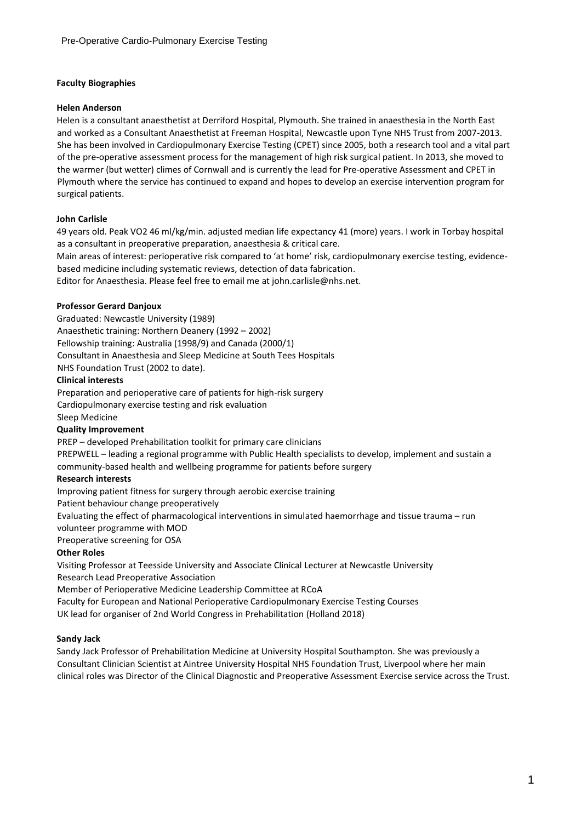### **Faculty Biographies**

### **Helen Anderson**

Helen is a consultant anaesthetist at Derriford Hospital, Plymouth. She trained in anaesthesia in the North East and worked as a Consultant Anaesthetist at Freeman Hospital, Newcastle upon Tyne NHS Trust from 2007-2013. She has been involved in Cardiopulmonary Exercise Testing (CPET) since 2005, both a research tool and a vital part of the pre-operative assessment process for the management of high risk surgical patient. In 2013, she moved to the warmer (but wetter) climes of Cornwall and is currently the lead for Pre-operative Assessment and CPET in Plymouth where the service has continued to expand and hopes to develop an exercise intervention program for surgical patients.

### **John Carlisle**

49 years old. Peak VO2 46 ml/kg/min. adjusted median life expectancy 41 (more) years. I work in Torbay hospital as a consultant in preoperative preparation, anaesthesia & critical care.

Main areas of interest: perioperative risk compared to 'at home' risk, cardiopulmonary exercise testing, evidencebased medicine including systematic reviews, detection of data fabrication.

Editor for Anaesthesia. Please feel free to email me at john.carlisle@nhs.net.

### **Professor Gerard Danjoux**

Graduated: Newcastle University (1989) Anaesthetic training: Northern Deanery (1992 – 2002) Fellowship training: Australia (1998/9) and Canada (2000/1) Consultant in Anaesthesia and Sleep Medicine at South Tees Hospitals NHS Foundation Trust (2002 to date).

#### **Clinical interests**

Preparation and perioperative care of patients for high-risk surgery Cardiopulmonary exercise testing and risk evaluation Sleep Medicine

### **Quality Improvement**

PREP – developed Prehabilitation toolkit for primary care clinicians

PREPWELL – leading a regional programme with Public Health specialists to develop, implement and sustain a community-based health and wellbeing programme for patients before surgery

### **Research interests**

Improving patient fitness for surgery through aerobic exercise training

Patient behaviour change preoperatively

Evaluating the effect of pharmacological interventions in simulated haemorrhage and tissue trauma – run volunteer programme with MOD

Preoperative screening for OSA

## **Other Roles**

Visiting Professor at Teesside University and Associate Clinical Lecturer at Newcastle University Research Lead Preoperative Association

Member of Perioperative Medicine Leadership Committee at RCoA

Faculty for European and National Perioperative Cardiopulmonary Exercise Testing Courses UK lead for organiser of 2nd World Congress in Prehabilitation (Holland 2018)

### **Sandy Jack**

Sandy Jack Professor of Prehabilitation Medicine at University Hospital Southampton. She was previously a Consultant Clinician Scientist at Aintree University Hospital NHS Foundation Trust, Liverpool where her main clinical roles was Director of the Clinical Diagnostic and Preoperative Assessment Exercise service across the Trust.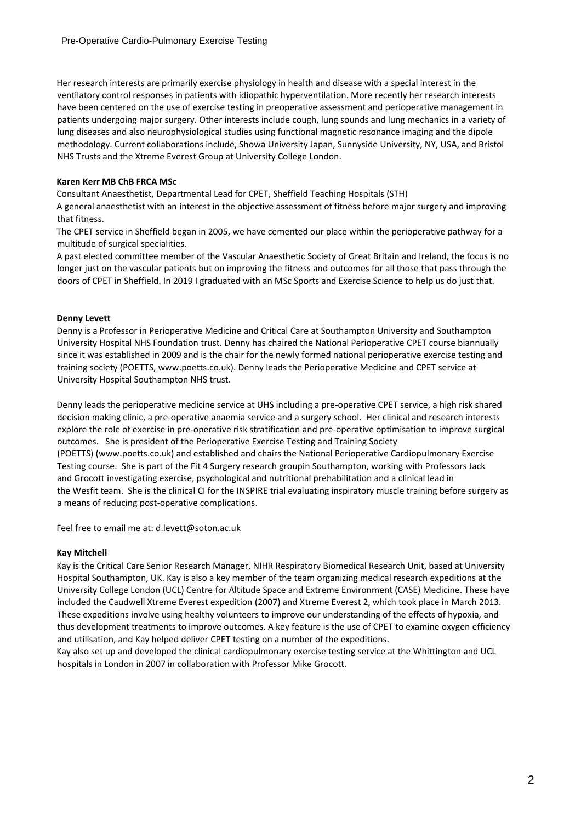Her research interests are primarily exercise physiology in health and disease with a special interest in the ventilatory control responses in patients with idiopathic hyperventilation. More recently her research interests have been centered on the use of exercise testing in preoperative assessment and perioperative management in patients undergoing major surgery. Other interests include cough, lung sounds and lung mechanics in a variety of lung diseases and also neurophysiological studies using functional magnetic resonance imaging and the dipole methodology. Current collaborations include, Showa University Japan, Sunnyside University, NY, USA, and Bristol NHS Trusts and the Xtreme Everest Group at University College London.

### **Karen Kerr MB ChB FRCA MSc**

Consultant Anaesthetist, Departmental Lead for CPET, Sheffield Teaching Hospitals (STH)

A general anaesthetist with an interest in the objective assessment of fitness before major surgery and improving that fitness.

The CPET service in Sheffield began in 2005, we have cemented our place within the perioperative pathway for a multitude of surgical specialities.

A past elected committee member of the Vascular Anaesthetic Society of Great Britain and Ireland, the focus is no longer just on the vascular patients but on improving the fitness and outcomes for all those that pass through the doors of CPET in Sheffield. In 2019 I graduated with an MSc Sports and Exercise Science to help us do just that.

## **Denny Levett**

Denny is a Professor in Perioperative Medicine and Critical Care at Southampton University and Southampton University Hospital NHS Foundation trust. Denny has chaired the National Perioperative CPET course biannually since it was established in 2009 and is the chair for the newly formed national perioperative exercise testing and training society (POETTS, www.poetts.co.uk). Denny leads the Perioperative Medicine and CPET service at University Hospital Southampton NHS trust.

Denny leads the perioperative medicine service at UHS including a pre-operative CPET service, a high risk shared decision making clinic, a pre-operative anaemia service and a surgery school. Her clinical and research interests explore the role of exercise in pre-operative risk stratification and pre-operative optimisation to improve surgical outcomes. She is president of the Perioperative Exercise Testing and Training Society (POETTS) (www.poetts.co.uk) and established and chairs the National Perioperative Cardiopulmonary Exercise Testing course. She is part of the Fit 4 Surgery research groupin Southampton, working with Professors Jack and Grocott investigating exercise, psychological and nutritional prehabilitation and a clinical lead in the Wesfit team. She is the clinical CI for the INSPIRE trial evaluating inspiratory muscle training before surgery as a means of reducing post-operative complications.

Feel free to email me at: d.levett@soton.ac.uk

### **Kay Mitchell**

Kay is the Critical Care Senior Research Manager, NIHR Respiratory Biomedical Research Unit, based at University Hospital Southampton, UK. Kay is also a key member of the team organizing medical research expeditions at the University College London (UCL) Centre for Altitude Space and Extreme Environment (CASE) Medicine. These have included the Caudwell Xtreme Everest expedition (2007) and Xtreme Everest 2, which took place in March 2013. These expeditions involve using healthy volunteers to improve our understanding of the effects of hypoxia, and thus development treatments to improve outcomes. A key feature is the use of CPET to examine oxygen efficiency and utilisation, and Kay helped deliver CPET testing on a number of the expeditions.

Kay also set up and developed the clinical cardiopulmonary exercise testing service at the Whittington and UCL hospitals in London in 2007 in collaboration with Professor Mike Grocott.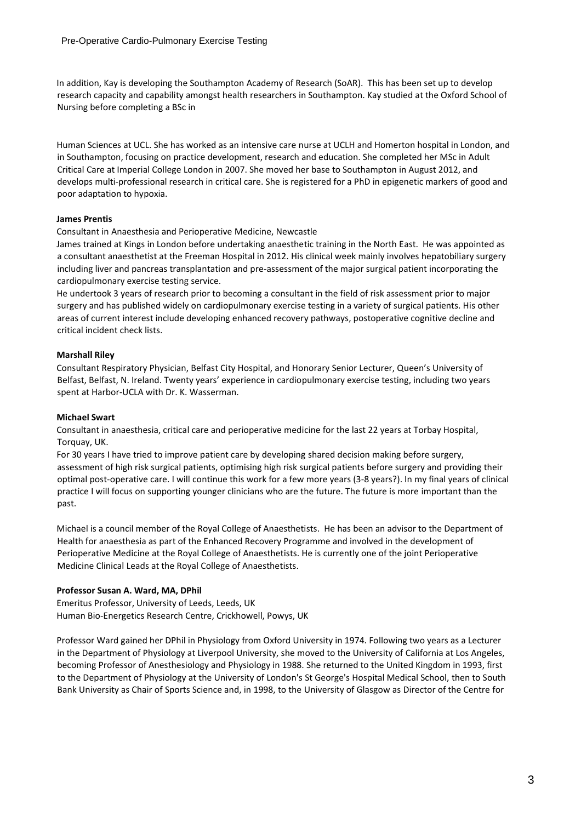In addition, Kay is developing the Southampton Academy of Research (SoAR). This has been set up to develop research capacity and capability amongst health researchers in Southampton. Kay studied at the Oxford School of Nursing before completing a BSc in

Human Sciences at UCL. She has worked as an intensive care nurse at UCLH and Homerton hospital in London, and in Southampton, focusing on practice development, research and education. She completed her MSc in Adult Critical Care at Imperial College London in 2007. She moved her base to Southampton in August 2012, and develops multi-professional research in critical care. She is registered for a PhD in epigenetic markers of good and poor adaptation to hypoxia.

## **James Prentis**

Consultant in Anaesthesia and Perioperative Medicine, Newcastle

James trained at Kings in London before undertaking anaesthetic training in the North East. He was appointed as a consultant anaesthetist at the Freeman Hospital in 2012. His clinical week mainly involves hepatobiliary surgery including liver and pancreas transplantation and pre-assessment of the major surgical patient incorporating the cardiopulmonary exercise testing service.

He undertook 3 years of research prior to becoming a consultant in the field of risk assessment prior to major surgery and has published widely on cardiopulmonary exercise testing in a variety of surgical patients. His other areas of current interest include developing enhanced recovery pathways, postoperative cognitive decline and critical incident check lists.

### **Marshall Riley**

Consultant Respiratory Physician, Belfast City Hospital, and Honorary Senior Lecturer, Queen's University of Belfast, Belfast, N. Ireland. Twenty years' experience in cardiopulmonary exercise testing, including two years spent at Harbor-UCLA with Dr. K. Wasserman.

### **Michael Swart**

Consultant in anaesthesia, critical care and perioperative medicine for the last 22 years at Torbay Hospital, Torquay, UK.

For 30 years I have tried to improve patient care by developing shared decision making before surgery, assessment of high risk surgical patients, optimising high risk surgical patients before surgery and providing their optimal post-operative care. I will continue this work for a few more years (3-8 years?). In my final years of clinical practice I will focus on supporting younger clinicians who are the future. The future is more important than the past.

Michael is a council member of the Royal College of Anaesthetists. He has been an advisor to the Department of Health for anaesthesia as part of the Enhanced Recovery Programme and involved in the development of Perioperative Medicine at the Royal College of Anaesthetists. He is currently one of the joint Perioperative Medicine Clinical Leads at the Royal College of Anaesthetists.

# **Professor Susan A. Ward, MA, DPhil**

Emeritus Professor, University of Leeds, Leeds, UK Human Bio-Energetics Research Centre, Crickhowell, Powys, UK

Professor Ward gained her DPhil in Physiology from Oxford University in 1974. Following two years as a Lecturer in the Department of Physiology at Liverpool University, she moved to the University of California at Los Angeles, becoming Professor of Anesthesiology and Physiology in 1988. She returned to the United Kingdom in 1993, first to the Department of Physiology at the University of London's St George's Hospital Medical School, then to South Bank University as Chair of Sports Science and, in 1998, to the University of Glasgow as Director of the Centre for